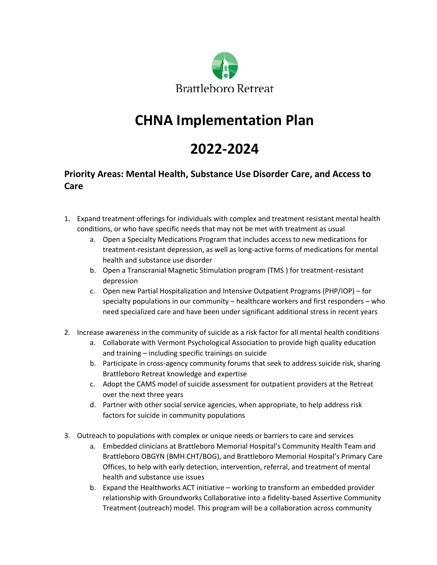

## **CHNA Implementation Plan**

## **2022-2024**

## **Priority Areas: Mental Health, Substance Use Disorder Care, and Access to Care**

- 1. Expand treatment offerings for individuals with complex and treatment resistant mental health conditions, or who have specific needs that may not be met with treatment as usual
	- a. Open a Specialty Medications Program that includes access to new medications for treatment-resistant depression, as well as long-active forms of medications for mental health and substance use disorder
	- b. Open a Transcranial Magnetic Stimulation program (TMS ) for treatment-resistant depression
	- c. Open new Partial Hospitalization and Intensive Outpatient Programs (PHP/IOP) for specialty populations in our community – healthcare workers and first responders – who need specialized care and have been under significant additional stress in recent years
- 2. Increase awareness in the community of suicide as a risk factor for all mental health conditions
	- a. Collaborate with Vermont Psychological Association to provide high quality education and training – including specific trainings on suicide
	- b. Participate in cross-agency community forums that seek to address suicide risk, sharing Brattleboro Retreat knowledge and expertise
	- c. Adopt the CAMS model of suicide assessment for outpatient providers at the Retreat over the next three years
	- d. Partner with other social service agencies, when appropriate, to help address risk factors for suicide in community populations
- 3. Outreach to populations with complex or unique needs or barriers to care and services
	- a. Embedded clinicians at Brattleboro Memorial Hospital's Community Health Team and Brattleboro OBGYN (BMH CHT/BOG), and Brattleboro Memorial Hospital's Primary Care Offices, to help with early detection, intervention, referral, and treatment of mental health and substance use issues
	- b. Expand the Healthworks ACT initiative working to transform an embedded provider relationship with Groundworks Collaborative into a fidelity-based Assertive Community Treatment (outreach) model. This program will be a collaboration across community